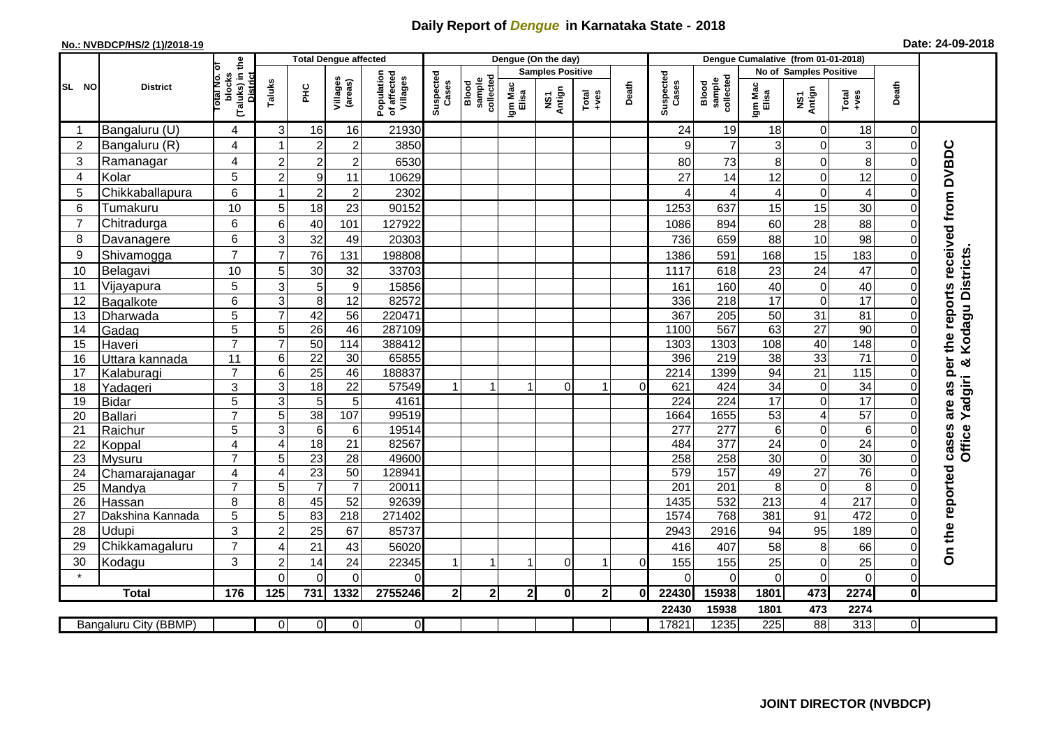## **Daily Report of** *Dengue* **in Karnataka State - 2018**

## **No.: NVBDCP/HS/2 (1)/2018-19 Date: 24-09-2018**

|                                                                                                   |  | <b>District</b>  |                                                    | <b>Total Dengue affected</b> |                 |                     |                                       |                    |                              |                  | Dengue (On the day)     |                                                              |              |                    |                              |                        |                         |                  |                |                                        |
|---------------------------------------------------------------------------------------------------|--|------------------|----------------------------------------------------|------------------------------|-----------------|---------------------|---------------------------------------|--------------------|------------------------------|------------------|-------------------------|--------------------------------------------------------------|--------------|--------------------|------------------------------|------------------------|-------------------------|------------------|----------------|----------------------------------------|
| SL NO                                                                                             |  |                  | Гō                                                 |                              |                 |                     |                                       |                    |                              |                  | <b>Samples Positive</b> |                                                              |              |                    |                              | No of Samples Positive |                         |                  |                |                                        |
|                                                                                                   |  |                  | (Taluks) in the<br>blocks<br>District<br>Total No. | Taluks                       | 오<br>도          | Villages<br>(areas) | Population<br>of affected<br>Villages | Suspected<br>Cases | sample<br>collected<br>Blood | Igm Mac<br>Elisa | NS1<br>Antign           | $\begin{array}{c}\n\text{Total} \\ \text{+ves}\n\end{array}$ | Death        | Suspected<br>Cases | collected<br>sample<br>Blood | Igm Mac<br>Elisa       | NS1<br>Antign           | $Tota$<br>$+ves$ | Death          |                                        |
|                                                                                                   |  | Bangaluru (U)    | 4                                                  | $\sqrt{3}$                   | 16              | 16                  | 21930                                 |                    |                              |                  |                         |                                                              |              | 24                 | 19                           | 18                     | $\mathbf 0$             | 18               | 0              |                                        |
| $\overline{2}$                                                                                    |  | Bangaluru (R)    | 4                                                  |                              | $\overline{2}$  | $\overline{c}$      | 3850                                  |                    |                              |                  |                         |                                                              |              | 9                  | $\overline{7}$               | $\overline{3}$         | 0                       | 3                | $\Omega$       |                                        |
| 3                                                                                                 |  | Ramanagar        | 4                                                  | $\overline{2}$               | $\overline{2}$  | $\overline{c}$      | 6530                                  |                    |                              |                  |                         |                                                              |              | 80                 | 73                           | 8                      | 0                       | 8                |                | as per the reports received from DVBDC |
| $\overline{4}$                                                                                    |  | Kolar            | 5                                                  | $\overline{2}$               | 9               | 11                  | 10629                                 |                    |                              |                  |                         |                                                              |              | 27                 | 14                           | 12                     | $\pmb{0}$               | 12               | $\Omega$       |                                        |
| 5                                                                                                 |  | Chikkaballapura  | 6                                                  |                              | $\overline{2}$  | $\overline{c}$      | 2302                                  |                    |                              |                  |                         |                                                              |              | 4                  | 4                            | 4                      | $\mathbf 0$             | $\overline{4}$   | $\Omega$       |                                        |
| 6                                                                                                 |  | Tumakuru         | $10$                                               | 5                            | 18              | 23                  | 90152                                 |                    |                              |                  |                         |                                                              |              | 1253               | 637                          | 15                     | 15                      | 30               | $\Omega$       |                                        |
| $\overline{7}$                                                                                    |  | Chitradurga      | 6                                                  | 6                            | 40              | 101                 | 127922                                |                    |                              |                  |                         |                                                              |              | 1086               | 894                          | 60                     | 28                      | 88               | $\Omega$       |                                        |
| 8                                                                                                 |  | Davanagere       | 6                                                  | $\mathbf{3}$                 | 32              | 49                  | 20303                                 |                    |                              |                  |                         |                                                              |              | 736                | 659                          | 88                     | 10                      | 98               | $\Omega$       |                                        |
| 9                                                                                                 |  | Shivamogga       | $\overline{7}$                                     | $\overline{7}$               | 76              | 131                 | 198808                                |                    |                              |                  |                         |                                                              |              | 1386               | 591                          | 168                    | 15                      | 183              | 0              |                                        |
| 10                                                                                                |  | Belagavi         | 10                                                 | 5                            | 30              | 32                  | 33703                                 |                    |                              |                  |                         |                                                              |              | 1117               | 618                          | 23                     | 24                      | 47               | $\Omega$       | Kodagu Districts                       |
| 11                                                                                                |  | Vijayapura       | 5                                                  | 3                            | 5               | $\boldsymbol{9}$    | 15856                                 |                    |                              |                  |                         |                                                              |              | 161                | 160                          | 40                     | $\pmb{0}$               | 40               | $\Omega$       |                                        |
| 12                                                                                                |  | Bagalkote        | 6                                                  | 3                            | 8               | $\overline{12}$     | 82572                                 |                    |                              |                  |                         |                                                              |              | 336                | 218                          | 17                     | $\mathbf 0$             | 17               | $\Omega$       |                                        |
| 13                                                                                                |  | Dharwada         | 5                                                  | $\overline{7}$               | 42              | $\overline{56}$     | 220471                                |                    |                              |                  |                         |                                                              |              | 367                | 205                          | 50                     | 31                      | 81               | $\mathbf 0$    |                                        |
| 14                                                                                                |  | Gadag            | $\overline{5}$                                     | 5                            | $\overline{26}$ | 46                  | 287109                                |                    |                              |                  |                         |                                                              |              | 1100               | 567                          | 63                     | $\overline{27}$         | $\overline{90}$  | $\mathbf 0$    |                                        |
| 15                                                                                                |  | Haveri           | $\overline{7}$                                     | $\overline{7}$               | 50              | 114                 | 388412                                |                    |                              |                  |                         |                                                              |              | 1303               | 1303                         | 108                    | 40                      | 148              | $\overline{0}$ |                                        |
| 16                                                                                                |  | Uttara kannada   | 11                                                 | 6                            | $\overline{22}$ | 30                  | 65855                                 |                    |                              |                  |                         |                                                              |              | 396                | 219                          | 38                     | 33                      | $\overline{71}$  | $\Omega$       | න්                                     |
| 17                                                                                                |  | Kalaburagi       | $\overline{7}$                                     | 6                            | $\overline{25}$ | 46                  | 188837                                |                    |                              |                  |                         |                                                              |              | 2214               | 1399                         | 94                     | 21                      | 115              | $\Omega$       |                                        |
| 18                                                                                                |  | Yadageri         | 3                                                  | $\sqrt{3}$                   | 18              | 22                  | 57549                                 |                    |                              |                  | 0                       | 1                                                            | $\Omega$     | 621                | 424                          | 34                     | 0                       | 34               | $\Omega$       | Yadgiri                                |
| 19                                                                                                |  | <b>Bidar</b>     | $\overline{5}$                                     | $\overline{3}$               | $\overline{5}$  | $\overline{5}$      | 4161                                  |                    |                              |                  |                         |                                                              |              | 224                | 224                          | 17                     | $\overline{\mathsf{o}}$ | 17               | $\Omega$       |                                        |
| 20                                                                                                |  | <b>Ballari</b>   | $\overline{7}$                                     | $\overline{5}$               | $\overline{38}$ | 107                 | 99519                                 |                    |                              |                  |                         |                                                              |              | 1664               | 1655                         | 53                     | $\overline{\mathbf{4}}$ | 57               | $\Omega$       | are                                    |
| 21                                                                                                |  | Raichur          | 5                                                  | 3                            | 6               | 6                   | 19514                                 |                    |                              |                  |                         |                                                              |              | 277                | 277                          | 6 <sup>1</sup>         | $\pmb{0}$               | 6                | $\Omega$       | cases<br><b>Office</b>                 |
| 22                                                                                                |  | Koppal           | 4                                                  | $\overline{4}$               | 18              | 21                  | 82567                                 |                    |                              |                  |                         |                                                              |              | 484                | 377                          | 24                     | $\pmb{0}$               | 24               | $\mathbf 0$    |                                        |
| 23                                                                                                |  | <b>Mysuru</b>    | $\overline{7}$                                     | 5                            | 23              | $\overline{28}$     | 49600                                 |                    |                              |                  |                         |                                                              |              | 258                | 258                          | 30                     | $\overline{0}$          | 30               | $\overline{0}$ |                                        |
| 24                                                                                                |  | Chamarajanagar   | 4                                                  | $\overline{4}$               | 23              | $\overline{50}$     | 128941                                |                    |                              |                  |                         |                                                              |              | 579                | 157                          | 49                     | $\overline{27}$         | 76               | $\Omega$       |                                        |
| 25                                                                                                |  | Mandya           | $\overline{7}$                                     | 5                            | $\overline{7}$  | $\overline{7}$      | 20011                                 |                    |                              |                  |                         |                                                              |              | 201                | 201                          | 8 <sup>1</sup>         | $\mathbf 0$             | 8                | $\Omega$       |                                        |
| 26                                                                                                |  | Hassan           | 8                                                  | 8                            | 45              | 52                  | 92639                                 |                    |                              |                  |                         |                                                              |              | 1435               | 532                          | $\overline{213}$       | $\overline{\mathbf{4}}$ | $\overline{217}$ | $\mathbf 0$    |                                        |
| 27                                                                                                |  | Dakshina Kannada | $\overline{5}$                                     | $\overline{5}$               | 83              | $\overline{218}$    | 271402                                |                    |                              |                  |                         |                                                              |              | 1574               | 768                          | 381                    | 91                      | 472              | $\Omega$       |                                        |
| 28                                                                                                |  | Udupi            | 3                                                  | $\overline{2}$               | 25              | 67                  | 85737                                 |                    |                              |                  |                         |                                                              |              | 2943               | 2916                         | 94                     | 95                      | 189              | $\Omega$       |                                        |
| 29                                                                                                |  | Chikkamagaluru   | $\overline{7}$                                     | $\overline{4}$               | 21              | 43                  | 56020                                 |                    |                              |                  |                         |                                                              |              | 416                | 407                          | 58                     | 8                       | 66               | $\Omega$       | On the reported                        |
| 30                                                                                                |  | Kodagu           | 3                                                  | $\overline{2}$               | 14              | 24                  | 22345                                 | $\mathbf 1$        |                              |                  | $\Omega$                | $\overline{1}$                                               | $\mathbf 0$  | 155                | 155                          | 25                     | $\pmb{0}$               | 25               | $\mathbf 0$    |                                        |
|                                                                                                   |  |                  |                                                    | $\Omega$                     | $\Omega$        | $\Omega$            | $\mathbf{0}$                          |                    |                              |                  |                         |                                                              |              | $\Omega$           | $\Omega$                     | $\Omega$               | $\mathbf 0$             | $\Omega$         | $\mathbf 0$    |                                        |
|                                                                                                   |  | <b>Total</b>     | 176                                                | 125                          | 731             | 1332                | 2755246                               | 2 <sub>l</sub>     | 2 <sub>1</sub>               | $\mathbf{2}$     | 0                       | $\mathbf{2}$                                                 | $\mathbf{0}$ | 22430              | 15938                        | 1801                   | 473                     | 2274             | $\mathbf 0$    |                                        |
|                                                                                                   |  |                  |                                                    |                              |                 |                     |                                       |                    |                              |                  |                         |                                                              |              | 22430              | 15938                        | 1801                   | 473                     | 2274             |                |                                        |
| $\overline{0}$<br>17821<br>1235<br>Bangaluru City (BBMP)<br>$\overline{0}$<br>$\overline{0}$<br>0 |  |                  |                                                    |                              |                 |                     |                                       |                    |                              |                  | 225                     | 88                                                           | 313          | $\overline{0}$     |                              |                        |                         |                  |                |                                        |